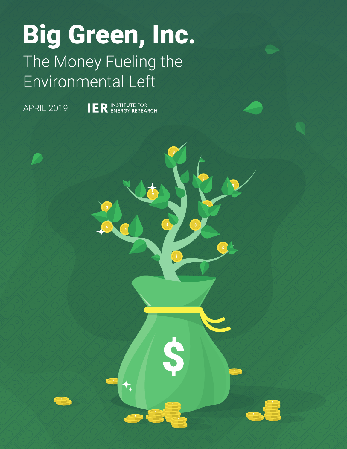# Big Green, Inc. The Money Fueling the Environmental Left

 $\bigstar$ 

**IER INSTITUTE FOR** APRIL 2019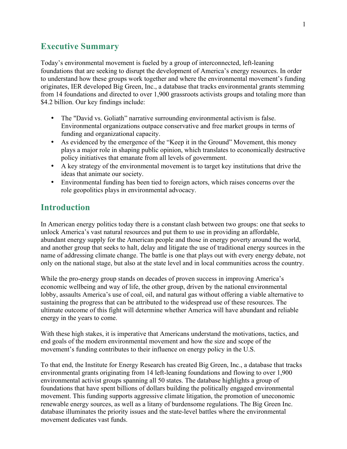## **Executive Summary**

Today's environmental movement is fueled by a group of interconnected, left-leaning foundations that are seeking to disrupt the development of America's energy resources. In order to understand how these groups work together and where the environmental movement's funding originates, IER developed Big Green, Inc., a database that tracks environmental grants stemming from 14 foundations and directed to over 1,900 grassroots activists groups and totaling more than \$4.2 billion. Our key findings include:

- The "David vs. Goliath" narrative surrounding environmental activism is false. Environmental organizations outpace conservative and free market groups in terms of funding and organizational capacity.
- As evidenced by the emergence of the "Keep it in the Ground" Movement, this money plays a major role in shaping public opinion, which translates to economically destructive policy initiatives that emanate from all levels of government.
- A key strategy of the environmental movement is to target key institutions that drive the ideas that animate our society.
- Environmental funding has been tied to foreign actors, which raises concerns over the role geopolitics plays in environmental advocacy.

## **Introduction**

In American energy politics today there is a constant clash between two groups: one that seeks to unlock America's vast natural resources and put them to use in providing an affordable, abundant energy supply for the American people and those in energy poverty around the world, and another group that seeks to halt, delay and litigate the use of traditional energy sources in the name of addressing climate change. The battle is one that plays out with every energy debate, not only on the national stage, but also at the state level and in local communities across the country.

While the pro-energy group stands on decades of proven success in improving America's economic wellbeing and way of life, the other group, driven by the national environmental lobby, assaults America's use of coal, oil, and natural gas without offering a viable alternative to sustaining the progress that can be attributed to the widespread use of these resources. The ultimate outcome of this fight will determine whether America will have abundant and reliable energy in the years to come.

With these high stakes, it is imperative that Americans understand the motivations, tactics, and end goals of the modern environmental movement and how the size and scope of the movement's funding contributes to their influence on energy policy in the U.S.

To that end, the Institute for Energy Research has created Big Green, Inc., a database that tracks environmental grants originating from 14 left-leaning foundations and flowing to over 1,900 environmental activist groups spanning all 50 states. The database highlights a group of foundations that have spent billions of dollars building the politically engaged environmental movement. This funding supports aggressive climate litigation, the promotion of uneconomic renewable energy sources, as well as a litany of burdensome regulations. The Big Green Inc. database illuminates the priority issues and the state-level battles where the environmental movement dedicates vast funds.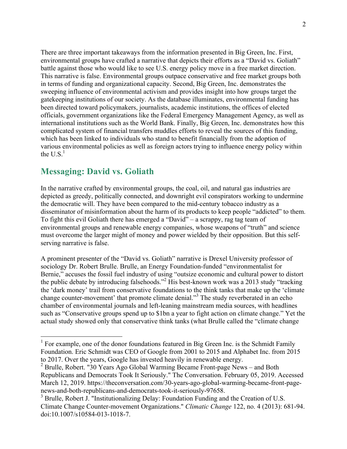There are three important takeaways from the information presented in Big Green, Inc. First, environmental groups have crafted a narrative that depicts their efforts as a "David vs. Goliath" battle against those who would like to see U.S. energy policy move in a free market direction. This narrative is false. Environmental groups outpace conservative and free market groups both in terms of funding and organizational capacity. Second, Big Green, Inc. demonstrates the sweeping influence of environmental activism and provides insight into how groups target the gatekeeping institutions of our society. As the database illuminates, environmental funding has been directed toward policymakers, journalists, academic institutions, the offices of elected officials, government organizations like the Federal Emergency Management Agency, as well as international institutions such as the World Bank. Finally, Big Green, Inc. demonstrates how this complicated system of financial transfers muddles efforts to reveal the sources of this funding, which has been linked to individuals who stand to benefit financially from the adoption of various environmental policies as well as foreign actors trying to influence energy policy within the  $U.S.^1$ 

# **Messaging: David vs. Goliath**

In the narrative crafted by environmental groups, the coal, oil, and natural gas industries are depicted as greedy, politically connected, and downright evil conspirators working to undermine the democratic will. They have been compared to the mid-century tobacco industry as a disseminator of misinformation about the harm of its products to keep people "addicted" to them. To fight this evil Goliath there has emerged a "David" – a scrappy, rag tag team of environmental groups and renewable energy companies, whose weapons of "truth" and science must overcome the larger might of money and power wielded by their opposition. But this selfserving narrative is false.

A prominent presenter of the "David vs. Goliath" narrative is Drexel University professor of sociology Dr. Robert Brulle. Brulle, an Energy Foundation-funded "environmentalist for Bernie," accuses the fossil fuel industry of using "outsize economic and cultural power to distort the public debate by introducing falsehoods."2 His best-known work was a 2013 study "tracking the 'dark money' trail from conservative foundations to the think tanks that make up the 'climate change counter-movement' that promote climate denial."<sup>3</sup> The study reverberated in an echo chamber of environmental journals and left-leaning mainstream media sources, with headlines such as "Conservative groups spend up to \$1bn a year to fight action on climate change." Yet the actual study showed only that conservative think tanks (what Brulle called the "climate change

<sup>&</sup>lt;sup>1</sup> For example, one of the donor foundations featured in Big Green Inc. is the Schmidt Family Foundation. Eric Schmidt was CEO of Google from 2001 to 2015 and Alphabet Inc. from 2015 to 2017. Over the years, Google has invested heavily in renewable energy.

<sup>2</sup> Brulle, Robert. "30 Years Ago Global Warming Became Front-page News – and Both Republicans and Democrats Took It Seriously." The Conversation. February 05, 2019. Accessed March 12, 2019. https://theconversation.com/30-years-ago-global-warming-became-front-pagenews-and-both-republicans-and-democrats-took-it-seriously-97658.

<sup>&</sup>lt;sup>3</sup> Brulle, Robert J. "Institutionalizing Delay: Foundation Funding and the Creation of U.S. Climate Change Counter-movement Organizations." *Climatic Change* 122, no. 4 (2013): 681-94. doi:10.1007/s10584-013-1018-7.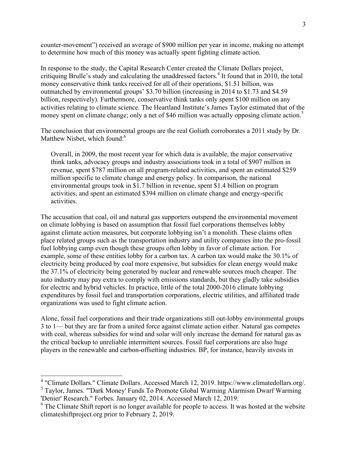counter-movement") received an average of \$900 million per year in income, making no attempt to determine how much of this money was actually spent fighting climate action.

In response to the study, the Capital Research Center created the Climate Dollars project, critiquing Brulle's study and calculating the unaddressed factors.<sup>4</sup> It found that in 2010, the total money conservative think tanks received for all of their operations, \$1.51 billion, was outmatched by environmental groups' \$3.70 billion (increasing in 2014 to \$1.73 and \$4.59 billion, respectively). Furthermore, conservative think tanks only spent \$100 million on any activities relating to climate science. The Heartland Institute's James Taylor estimated that of the money spent on climate change; only a net of \$46 million was actually opposing climate action.<sup>5</sup>

The conclusion that environmental groups are the real Goliath corroborates a 2011 study by Dr. Matthew Nisbet, which found: $6$ 

Overall, in 2009, the most recent year for which data is available, the major conservative think tanks, advocacy groups and industry associations took in a total of \$907 million in revenue, spent \$787 million on all program-related activities, and spent an estimated \$259 million specific to climate change and energy policy. In comparison, the national environmental groups took in \$1.7 billion in revenue, spent \$1.4 billion on program activities, and spent an estimated \$394 million on climate change and energy-specific activities.

The accusation that coal, oil and natural gas supporters outspend the environmental movement on climate lobbying is based on assumption that fossil fuel corporations themselves lobby against climate action measures, but corporate lobbying isn't a monolith. These claims often place related groups such as the transportation industry and utility companies into the pro-fossil fuel lobbying camp even though these groups often lobby in favor of climate action. For example, some of these entities lobby for a carbon tax. A carbon tax would make the 30.1% of electricity being produced by coal more expensive, but subsidies for clean energy would make the 37.1% of electricity being generated by nuclear and renewable sources much cheaper. The auto industry may pay extra to comply with emissions standards, but they gladly take subsidies for electric and hybrid vehicles. In practice, little of the total 2000-2016 climate lobbying expenditures by fossil fuel and transportation corporations, electric utilities, and affiliated trade organizations was used to fight climate action.

Alone, fossil fuel corporations and their trade organizations still out-lobby environmental groups 3 to 1— but they are far from a united force against climate action either. Natural gas competes with coal, whereas subsidies for wind and solar will only increase the demand for natural gas as the critical backup to unreliable intermittent sources. Fossil fuel corporations are also huge players in the renewable and carbon-offsetting industries. BP, for instance, heavily invests in

 <sup>4</sup> "Climate Dollars." Climate Dollars. Accessed March 12, 2019. https://www.climatedollars.org/. <sup>5</sup> Taylor, James. "'Dark Money' Funds To Promote Global Warming Alarmism Dwarf Warming

<sup>&#</sup>x27;Denier' Research." Forbes. January 02, 2014. Accessed March 12, 2019.

<sup>&</sup>lt;sup>6</sup> The Climate Shift report is no longer available for people to access. It was hosted at the website climateshiftproject.org prior to February 2, 2019.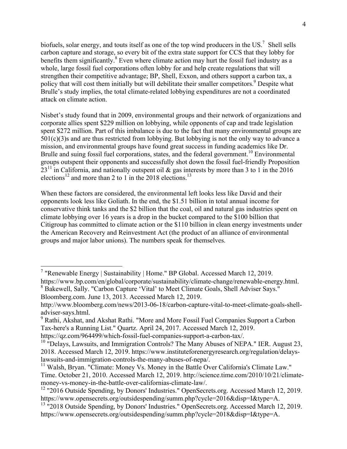biofuels, solar energy, and touts itself as one of the top wind producers in the US.<sup>7</sup> Shell sells carbon capture and storage, so every bit of the extra state support for CCS that they lobby for benefits them significantly.<sup>8</sup> Even where climate action may hurt the fossil fuel industry as a whole, large fossil fuel corporations often lobby for and help create regulations that will strengthen their competitive advantage; BP, Shell, Exxon, and others support a carbon tax, a policy that will cost them initially but will debilitate their smaller competitors.<sup>9</sup> Despite what Brulle's study implies, the total climate-related lobbying expenditures are not a coordinated attack on climate action.

Nisbet's study found that in 2009, environmental groups and their network of organizations and corporate allies spent \$229 million on lobbying, while opponents of cap and trade legislation spent \$272 million. Part of this imbalance is due to the fact that many environmental groups are 501(c)(3)s and are thus restricted from lobbying. But lobbying is not the only way to advance a mission, and environmental groups have found great success in funding academics like Dr. Brulle and suing fossil fuel corporations, states, and the federal government.<sup>10</sup> Environmental groups outspent their opponents and successfully shot down the fossil fuel-friendly Proposition  $23<sup>11</sup>$  in California, and nationally outspent oil & gas interests by more than 3 to 1 in the 2016 elections<sup>12</sup> and more than 2 to 1 in the 2018 elections.<sup>13</sup>

When these factors are considered, the environmental left looks less like David and their opponents look less like Goliath. In the end, the \$1.51 billion in total annual income for conservative think tanks and the \$2 billion that the coal, oil and natural gas industries spent on climate lobbying over 16 years is a drop in the bucket compared to the \$100 billion that Citigroup has committed to climate action or the \$110 billion in clean energy investments under the American Recovery and Reinvestment Act (the product of an alliance of environmental groups and major labor unions). The numbers speak for themselves.

 <sup>7</sup> "Renewable Energy | Sustainability | Home." BP Global. Accessed March 12, 2019.

https://www.bp.com/en/global/corporate/sustainability/climate-change/renewable-energy.html. <sup>8</sup> Bakewell, Sally. "Carbon Capture 'Vital' to Meet Climate Goals, Shell Adviser Says." Bloomberg.com. June 13, 2013. Accessed March 12, 2019.

http://www.bloomberg.com/news/2013-06-18/carbon-capture-vital-to-meet-climate-goals-shelladviser-says.html.

<sup>9</sup> Rathi, Akshat, and Akshat Rathi. "More and More Fossil Fuel Companies Support a Carbon Tax-here's a Running List." Quartz. April 24, 2017. Accessed March 12, 2019.

https://qz.com/964499/which-fossil-fuel-companies-support-a-carbon-tax/.

 $10$  "Delays, Lawsuits, and Immigration Controls? The Many Abuses of NEPA." IER. August 23, 2018. Accessed March 12, 2019. https://www.instituteforenergyresearch.org/regulation/delayslawsuits-and-immigration-controls-the-many-abuses-of-nepa/.

<sup>11</sup> Walsh, Bryan. "Climate: Money Vs. Money in the Battle Over California's Climate Law." Time. October 21, 2010. Accessed March 12, 2019. http://science.time.com/2010/10/21/climatemoney-vs-money-in-the-battle-over-californias-climate-law/.

<sup>&</sup>lt;sup>12</sup> "2016 Outside Spending, by Donors' Industries." OpenSecrets.org. Accessed March 12, 2019. https://www.opensecrets.org/outsidespending/summ.php?cycle=2016&disp=I&type=A.

<sup>&</sup>lt;sup>13</sup> "2018 Outside Spending, by Donors' Industries." OpenSecrets.org. Accessed March 12, 2019. https://www.opensecrets.org/outsidespending/summ.php?cycle=2018&disp=I&type=A.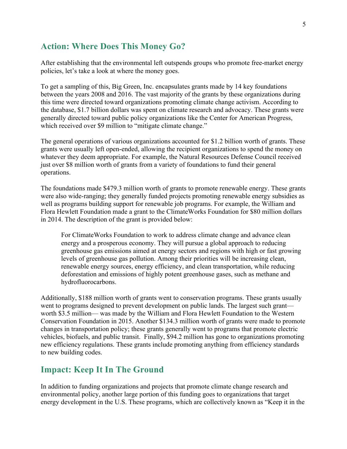## **Action: Where Does This Money Go?**

After establishing that the environmental left outspends groups who promote free-market energy policies, let's take a look at where the money goes.

To get a sampling of this, Big Green, Inc. encapsulates grants made by 14 key foundations between the years 2008 and 2016. The vast majority of the grants by these organizations during this time were directed toward organizations promoting climate change activism. According to the database, \$1.7 billion dollars was spent on climate research and advocacy. These grants were generally directed toward public policy organizations like the Center for American Progress, which received over \$9 million to "mitigate climate change."

The general operations of various organizations accounted for \$1.2 billion worth of grants. These grants were usually left open-ended, allowing the recipient organizations to spend the money on whatever they deem appropriate. For example, the Natural Resources Defense Council received just over \$8 million worth of grants from a variety of foundations to fund their general operations.

The foundations made \$479.3 million worth of grants to promote renewable energy. These grants were also wide-ranging; they generally funded projects promoting renewable energy subsidies as well as programs building support for renewable job programs. For example, the William and Flora Hewlett Foundation made a grant to the ClimateWorks Foundation for \$80 million dollars in 2014. The description of the grant is provided below:

For ClimateWorks Foundation to work to address climate change and advance clean energy and a prosperous economy. They will pursue a global approach to reducing greenhouse gas emissions aimed at energy sectors and regions with high or fast growing levels of greenhouse gas pollution. Among their priorities will be increasing clean, renewable energy sources, energy efficiency, and clean transportation, while reducing deforestation and emissions of highly potent greenhouse gases, such as methane and hydrofluorocarbons.

Additionally, \$188 million worth of grants went to conservation programs. These grants usually went to programs designed to prevent development on public lands. The largest such grant worth \$3.5 million— was made by the William and Flora Hewlett Foundation to the Western Conservation Foundation in 2015. Another \$134.3 million worth of grants were made to promote changes in transportation policy; these grants generally went to programs that promote electric vehicles, biofuels, and public transit. Finally, \$94.2 million has gone to organizations promoting new efficiency regulations. These grants include promoting anything from efficiency standards to new building codes.

## **Impact: Keep It In The Ground**

In addition to funding organizations and projects that promote climate change research and environmental policy, another large portion of this funding goes to organizations that target energy development in the U.S. These programs, which are collectively known as "Keep it in the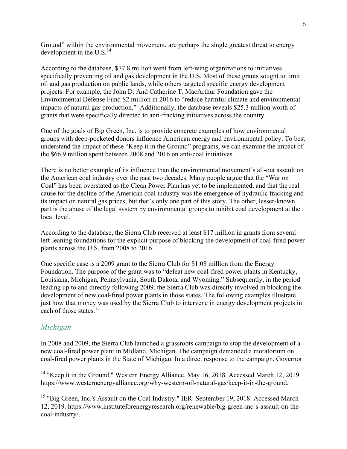Ground" within the environmental movement, are perhaps the single greatest threat to energy development in the U.S. $^{14}$ 

According to the database, \$77.8 million went from left-wing organizations to initiatives specifically preventing oil and gas development in the U.S. Most of these grants sought to limit oil and gas production on public lands, while others targeted specific energy development projects. For example, the John D. And Catherine T. MacArthur Foundation gave the Environmental Defense Fund \$2 million in 2016 to "reduce harmful climate and environmental impacts of natural gas production." Additionally, the database reveals \$25.3 million worth of grants that were specifically directed to anti-fracking initiatives across the country.

One of the goals of Big Green, Inc. is to provide concrete examples of how environmental groups with deep-pocketed donors influence American energy and environmental policy. To best understand the impact of these "Keep it in the Ground" programs, we can examine the impact of the \$66.9 million spent between 2008 and 2016 on anti-coal initiatives.

There is no better example of its influence than the environmental movement's all-out assault on the American coal industry over the past two decades. Many people argue that the "War on Coal" has been overstated as the Clean Power Plan has yet to be implemented, and that the real cause for the decline of the American coal industry was the emergence of hydraulic fracking and its impact on natural gas prices, but that's only one part of this story. The other, lesser-known part is the abuse of the legal system by environmental groups to inhibit coal development at the local level.

According to the database, the Sierra Club received at least \$17 million in grants from several left-leaning foundations for the explicit purpose of blocking the development of coal-fired power plants across the U.S. from 2008 to 2016.

One specific case is a 2009 grant to the Sierra Club for \$1.08 million from the Energy Foundation. The purpose of the grant was to "defeat new coal-fired power plants in Kentucky, Louisiana, Michigan, Pennsylvania, South Dakota, and Wyoming." Subsequently, in the period leading up to and directly following 2009, the Sierra Club was directly involved in blocking the development of new coal-fired power plants in those states. The following examples illustrate just how that money was used by the Sierra Club to intervene in energy development projects in each of those states  $15$ 

#### *Michigan*

In 2008 and 2009, the Sierra Club launched a grassroots campaign to stop the development of a new coal-fired power plant in Midland, Michigan. The campaign demanded a moratorium on coal-fired power plants in the State of Michigan. In a direct response to the campaign, Governor

<sup>&</sup>lt;sup>14</sup> "Keep it in the Ground." Western Energy Alliance. May 16, 2018. Accessed March 12, 2019. https://www.westernenergyalliance.org/why-western-oil-natural-gas/keep-it-in-the-ground.

<sup>&</sup>lt;sup>15</sup> "Big Green, Inc.'s Assault on the Coal Industry." IER. September 19, 2018. Accessed March 12, 2019. https://www.instituteforenergyresearch.org/renewable/big-green-inc-s-assault-on-thecoal-industry/.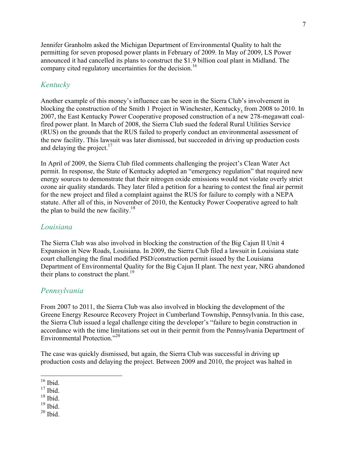Jennifer Granholm asked the Michigan Department of Environmental Quality to halt the permitting for seven proposed power plants in February of 2009. In May of 2009, LS Power announced it had cancelled its plans to construct the \$1.9 billion coal plant in Midland. The company cited regulatory uncertainties for the decision.<sup>16</sup>

## *Kentucky*

Another example of this money's influence can be seen in the Sierra Club's involvement in blocking the construction of the Smith 1 Project in Winchester, Kentucky, from 2008 to 2010. In 2007, the East Kentucky Power Cooperative proposed construction of a new 278-megawatt coalfired power plant. In March of 2008, the Sierra Club sued the federal Rural Utilities Service (RUS) on the grounds that the RUS failed to properly conduct an environmental assessment of the new facility. This lawsuit was later dismissed, but succeeded in driving up production costs and delaying the project. $17$ 

In April of 2009, the Sierra Club filed comments challenging the project's Clean Water Act permit. In response, the State of Kentucky adopted an "emergency regulation" that required new energy sources to demonstrate that their nitrogen oxide emissions would not violate overly strict ozone air quality standards. They later filed a petition for a hearing to contest the final air permit for the new project and filed a complaint against the RUS for failure to comply with a NEPA statute. After all of this, in November of 2010, the Kentucky Power Cooperative agreed to halt the plan to build the new facility.<sup>18</sup>

#### *Louisiana*

The Sierra Club was also involved in blocking the construction of the Big Cajun II Unit 4 Expansion in New Roads, Louisiana. In 2009, the Sierra Club filed a lawsuit in Louisiana state court challenging the final modified PSD/construction permit issued by the Louisiana Department of Environmental Quality for the Big Cajun II plant. The next year, NRG abandoned their plans to construct the plant.<sup>19</sup>

### *Pennsylvania*

From 2007 to 2011, the Sierra Club was also involved in blocking the development of the Greene Energy Resource Recovery Project in Cumberland Township, Pennsylvania. In this case, the Sierra Club issued a legal challenge citing the developer's "failure to begin construction in accordance with the time limitations set out in their permit from the Pennsylvania Department of Environmental Protection."<sup>20</sup>

The case was quickly dismissed, but again, the Sierra Club was successful in driving up production costs and delaying the project. Between 2009 and 2010, the project was halted in

 $16$  Ibid.

 $17$  Ibid.

 $18$  Ibid.

 $^{19}$  Ibid.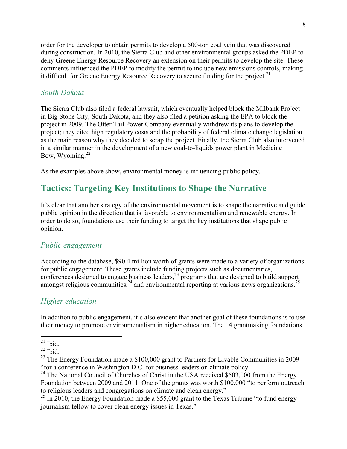order for the developer to obtain permits to develop a 500-ton coal vein that was discovered during construction. In 2010, the Sierra Club and other environmental groups asked the PDEP to deny Greene Energy Resource Recovery an extension on their permits to develop the site. These comments influenced the PDEP to modify the permit to include new emissions controls, making it difficult for Greene Energy Resource Recovery to secure funding for the project.<sup>21</sup>

#### *South Dakota*

The Sierra Club also filed a federal lawsuit, which eventually helped block the Milbank Project in Big Stone City, South Dakota, and they also filed a petition asking the EPA to block the project in 2009. The Otter Tail Power Company eventually withdrew its plans to develop the project; they cited high regulatory costs and the probability of federal climate change legislation as the main reason why they decided to scrap the project. Finally, the Sierra Club also intervened in a similar manner in the development of a new coal-to-liquids power plant in Medicine Bow, Wyoming. $^{22}$ 

As the examples above show, environmental money is influencing public policy.

# **Tactics: Targeting Key Institutions to Shape the Narrative**

It's clear that another strategy of the environmental movement is to shape the narrative and guide public opinion in the direction that is favorable to environmentalism and renewable energy. In order to do so, foundations use their funding to target the key institutions that shape public opinion.

#### *Public engagement*

According to the database, \$90.4 million worth of grants were made to a variety of organizations for public engagement. These grants include funding projects such as documentaries, conferences designed to engage business leaders, <sup>23</sup> programs that are designed to build support amongst religious communities,  $24$  and environmental reporting at various news organizations.<sup>25</sup>

#### *Higher education*

In addition to public engagement, it's also evident that another goal of these foundations is to use their money to promote environmentalism in higher education. The 14 grantmaking foundations

 $21$  Ibid.

 $22$  Ibid.

<sup>&</sup>lt;sup>23</sup> The Energy Foundation made a \$100,000 grant to Partners for Livable Communities in 2009 "for a conference in Washington D.C. for business leaders on climate policy.

<sup>&</sup>lt;sup>24</sup> The National Council of Churches of Christ in the USA received \$503,000 from the Energy Foundation between 2009 and 2011. One of the grants was worth \$100,000 "to perform outreach to religious leaders and congregations on climate and clean energy."

 $25$  In 2010, the Energy Foundation made a \$55,000 grant to the Texas Tribune "to fund energy journalism fellow to cover clean energy issues in Texas."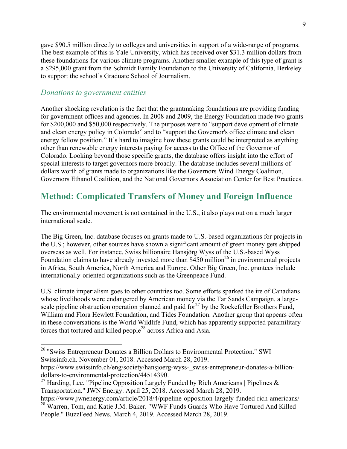gave \$90.5 million directly to colleges and universities in support of a wide-range of programs. The best example of this is Yale University, which has received over \$31.3 million dollars from these foundations for various climate programs. Another smaller example of this type of grant is a \$295,000 grant from the Schmidt Family Foundation to the University of California, Berkeley to support the school's Graduate School of Journalism.

#### *Donations to government entities*

Another shocking revelation is the fact that the grantmaking foundations are providing funding for government offices and agencies. In 2008 and 2009, the Energy Foundation made two grants for \$200,000 and \$50,000 respectively. The purposes were to "support development of climate and clean energy policy in Colorado" and to "support the Governor's office climate and clean energy fellow position." It's hard to imagine how these grants could be interpreted as anything other than renewable energy interests paying for access to the Office of the Governor of Colorado. Looking beyond those specific grants, the database offers insight into the effort of special interests to target governors more broadly. The database includes several millions of dollars worth of grants made to organizations like the Governors Wind Energy Coalition, Governors Ethanol Coalition, and the National Governors Association Center for Best Practices.

## **Method: Complicated Transfers of Money and Foreign Influence**

The environmental movement is not contained in the U.S., it also plays out on a much larger international scale.

The Big Green, Inc. database focuses on grants made to U.S.-based organizations for projects in the U.S.; however, other sources have shown a significant amount of green money gets shipped overseas as well. For instance, Swiss billionaire Hansjörg Wyss of the U.S.-based Wyss Foundation claims to have already invested more than  $$450$  million<sup>26</sup> in environmental projects in Africa, South America, North America and Europe. Other Big Green, Inc. grantees include internationally-oriented organizations such as the Greenpeace Fund.

U.S. climate imperialism goes to other countries too. Some efforts sparked the ire of Canadians whose livelihoods were endangered by American money via the Tar Sands Campaign, a largescale pipeline obstruction operation planned and paid for $^{27}$  by the Rockefeller Brothers Fund, William and Flora Hewlett Foundation, and Tides Foundation. Another group that appears often in these conversations is the World Wildlife Fund, which has apparently supported paramilitary forces that tortured and killed people<sup>28</sup> across Africa and Asia.

 <sup>26</sup> "Swiss Entrepreneur Donates a Billion Dollars to Environmental Protection." SWI Swissinfo.ch. November 01, 2018. Accessed March 28, 2019.

https://www.swissinfo.ch/eng/society/hansjoerg-wyss-\_swiss-entrepreneur-donates-a-billiondollars-to-environmental-protection/44514390.

<sup>&</sup>lt;sup>27</sup> Harding, Lee. "Pipeline Opposition Largely Funded by Rich Americans | Pipelines  $\&$ Transportation." JWN Energy. April 25, 2018. Accessed March 28, 2019.

https://www.jwnenergy.com/article/2018/4/pipeline-opposition-largely-funded-rich-americans/ <sup>28</sup> Warren, Tom, and Katie J.M. Baker. "WWF Funds Guards Who Have Tortured And Killed People." BuzzFeed News. March 4, 2019. Accessed March 28, 2019.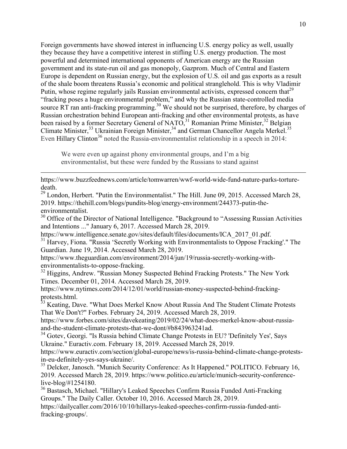Foreign governments have showed interest in influencing U.S. energy policy as well, usually they because they have a competitive interest in stifling U.S. energy production. The most powerful and determined international opponents of American energy are the Russian government and its state-run oil and gas monopoly, Gazprom. Much of Central and Eastern Europe is dependent on Russian energy, but the explosion of U.S. oil and gas exports as a result of the shale boom threatens Russia's economic and political stranglehold. This is why Vladimir Putin, whose regime regularly jails Russian environmental activists, expressed concern that<sup>29</sup> "fracking poses a huge environmental problem," and why the Russian state-controlled media source RT ran anti-fracking programming.<sup>30</sup> We should not be surprised, therefore, by charges of Russian orchestration behind European anti-fracking and other environmental protests, as have been raised by a former Secretary General of NATO,  $31$  Romanian Prime Minister,  $32$  Belgian Climate Minister,  $33$  Ukrainian Foreign Minister,  $34$  and German Chancellor Angela Merkel.<sup>35</sup> Even Hillary Clinton<sup>36</sup> noted the Russia-environmentalist relationship in a speech in 2014:

We were even up against phony environmental groups, and I'm a big environmentalist, but these were funded by the Russians to stand against

https://www.buzzfeednews.com/article/tomwarren/wwf-world-wide-fund-nature-parks-torturedeath.

<u> 1989 - Andrea Santa Alemania, amerikana amerikana amerikana amerikana amerikana amerikana amerikana amerikana</u>

<sup>29</sup> London, Herbert. "Putin the Environmentalist." The Hill. June 09, 2015. Accessed March 28, 2019. https://thehill.com/blogs/pundits-blog/energy-environment/244373-putin-theenvironmentalist.

<sup>30</sup> Office of the Director of National Intelligence. "Background to "Assessing Russian Activities and Intentions ..." January 6, 2017. Accessed March 28, 2019.

https://www.intelligence.senate.gov/sites/default/files/documents/ICA\_2017\_01.pdf.

 $31$  Harvey, Fiona. "Russia 'Secretly Working with Environmentalists to Oppose Fracking'." The Guardian. June 19, 2014. Accessed March 28, 2019.

https://www.theguardian.com/environment/2014/jun/19/russia-secretly-working-withenvironmentalists-to-oppose-fracking.

<sup>32</sup> Higgins, Andrew. "Russian Money Suspected Behind Fracking Protests." The New York Times. December 01, 2014. Accessed March 28, 2019.

https://www.nytimes.com/2014/12/01/world/russian-money-suspected-behind-frackingprotests.html.

<sup>33</sup> Keating, Dave. "What Does Merkel Know About Russia And The Student Climate Protests That We Don't?" Forbes. February 24, 2019. Accessed March 28, 2019.

https://www.forbes.com/sites/davekeating/2019/02/24/what-does-merkel-know-about-russiaand-the-student-climate-protests-that-we-dont/#b843963241ad. <sup>34</sup> Gotev, Georgi. "Is Russia behind Climate Change Protests in EU? 'Definitely Yes', Says

Ukraine." Euractiv.com. February 18, 2019. Accessed March 28, 2019.

https://www.euractiv.com/section/global-europe/news/is-russia-behind-climate-change-protestsin-eu-definitely-yes-says-ukraine/.

<sup>35</sup> Delcker, Janosch. "Munich Security Conference: As It Happened." POLITICO. February 16, 2019. Accessed March 28, 2019. https://www.politico.eu/article/munich-security-conferencelive-blog/#1254180.

<sup>36</sup> Bastasch, Michael. "Hillary's Leaked Speeches Confirm Russia Funded Anti-Fracking Groups." The Daily Caller. October 10, 2016. Accessed March 28, 2019.

https://dailycaller.com/2016/10/10/hillarys-leaked-speeches-confirm-russia-funded-antifracking-groups/.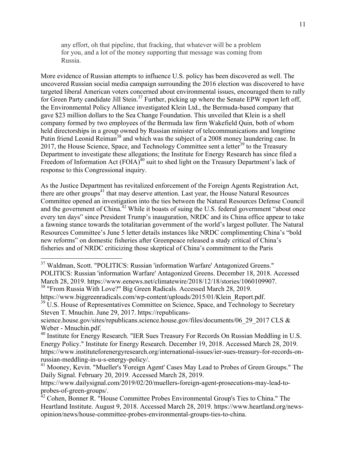any effort, oh that pipeline, that fracking, that whatever will be a problem for you, and a lot of the money supporting that message was coming from Russia.

More evidence of Russian attempts to influence U.S. policy has been discovered as well. The uncovered Russian social media campaign surrounding the 2016 election was discovered to have targeted liberal American voters concerned about environmental issues, encouraged them to rally for Green Party candidate Jill Stein.<sup>37</sup> Further, picking up where the Senate EPW report left off, the Environmental Policy Alliance investigated Klein Ltd., the Bermuda-based company that gave \$23 million dollars to the Sea Change Foundation. This unveiled that Klein is a shell company formed by two employees of the Bermuda law firm Wakefield Quin, both of whom held directorships in a group owned by Russian minister of telecommunications and longtime Putin friend Leonid Reiman<sup>38</sup> and which was the subject of a 2008 money laundering case. In 2017, the House Science, Space, and Technology Committee sent a letter<sup>39</sup> to the Treasury Department to investigate these allegations; the Institute for Energy Research has since filed a Freedom of Information Act  $(FOIA)^{40}$  suit to shed light on the Treasury Department's lack of response to this Congressional inquiry.

As the Justice Department has revitalized enforcement of the Foreign Agents Registration Act, there are other groups<sup>41</sup> that may deserve attention. Last year, the House Natural Resources Committee opened an investigation into the ties between the Natural Resources Defense Council and the government of China.<sup>42</sup> While it boasts of suing the U.S. federal government "about once every ten days" since President Trump's inauguration, NRDC and its China office appear to take a fawning stance towards the totalitarian government of the world's largest polluter. The Natural Resources Committee's June 5 letter details instances like NRDC complimenting China's "bold new reforms" on domestic fisheries after Greenpeace released a study critical of China's fisheries and of NRDC criticizing those skeptical of China's commitment to the Paris

 <sup>37</sup> Waldman, Scott. "POLITICS: Russian 'information Warfare' Antagonized Greens." POLITICS: Russian 'information Warfare' Antagonized Greens. December 18, 2018. Accessed March 28, 2019. https://www.eenews.net/climatewire/2018/12/18/stories/1060109907. <sup>38</sup> "From Russia With Love?" Big Green Radicals. Accessed March 28, 2019.

https://www.biggreenradicals.com/wp-content/uploads/2015/01/Klein\_Report.pdf.

<sup>&</sup>lt;sup>39</sup> U.S. House of Representatives Committee on Science, Space, and Technology to Secretary Steven T. Mnuchin. June 29, 2017. https://republicans-

science.house.gov/sites/republicans.science.house.gov/files/documents/06\_29\_2017 CLS & Weber - Mnuchin.pdf.

<sup>&</sup>lt;sup>40</sup> Institute for Energy Research. "IER Sues Treasury For Records On Russian Meddling in U.S. Energy Policy." Institute for Energy Research. December 19, 2018. Accessed March 28, 2019. https://www.instituteforenergyresearch.org/international-issues/ier-sues-treasury-for-records-onrussian-meddling-in-u-s-energy-policy/.

<sup>&</sup>lt;sup>41</sup> Mooney, Kevin. "Mueller's 'Foreign Agent' Cases May Lead to Probes of Green Groups." The Daily Signal. February 20, 2019. Accessed March 28, 2019.

https://www.dailysignal.com/2019/02/20/muellers-foreign-agent-prosecutions-may-lead-toprobes-of-green-groups/.

<sup>&</sup>lt;sup>42</sup> Cohen, Bonner R. "House Committee Probes Environmental Group's Ties to China." The Heartland Institute. August 9, 2018. Accessed March 28, 2019. https://www.heartland.org/newsopinion/news/house-committee-probes-environmental-groups-ties-to-china.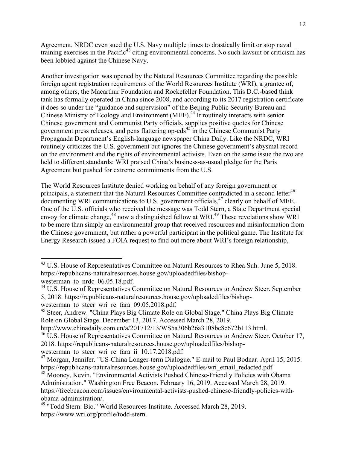Agreement. NRDC even sued the U.S. Navy multiple times to drastically limit or stop naval training exercises in the Pacific<sup>43</sup> citing environmental concerns. No such lawsuit or criticism has been lobbied against the Chinese Navy.

Another investigation was opened by the Natural Resources Committee regarding the possible foreign agent registration requirements of the World Resources Institute (WRI), a grantee of, among others, the Macarthur Foundation and Rockefeller Foundation. This D.C.-based think tank has formally operated in China since 2008, and according to its 2017 registration certificate it does so under the "guidance and supervision" of the Beijing Public Security Bureau and Chinese Ministry of Ecology and Environment (MEE).<sup>44</sup> It routinely interacts with senior Chinese government and Communist Party officials, supplies positive quotes for Chinese government press releases, and pens flattering op-eds<sup>45</sup> in the Chinese Communist Party Propaganda Department's English-language newspaper China Daily. Like the NRDC, WRI routinely criticizes the U.S. government but ignores the Chinese government's abysmal record on the environment and the rights of environmental activists. Even on the same issue the two are held to different standards: WRI praised China's business-as-usual pledge for the Paris Agreement but pushed for extreme commitments from the U.S.

The World Resources Institute denied working on behalf of any foreign government or principals, a statement that the Natural Resources Committee contradicted in a second letter<sup>46</sup> documenting WRI communications to U.S. government officials,<sup>47</sup> clearly on behalf of MEE. One of the U.S. officials who received the message was Todd Stern, a State Department special envoy for climate change,  $^{48}$  now a distinguished fellow at WRI.<sup>49</sup> These revelations show WRI to be more than simply an environmental group that received resources and misinformation from the Chinese government, but rather a powerful participant in the political game. The Institute for Energy Research issued a FOIA request to find out more about WRI's foreign relationship,

<sup>&</sup>lt;sup>43</sup> U.S. House of Representatives Committee on Natural Resources to Rhea Suh. June 5, 2018. https://republicans-naturalresources.house.gov/uploadedfiles/bishopwesterman\_to\_nrdc\_06.05.18.pdf.

<sup>&</sup>lt;sup>44</sup> U.S. House of Representatives Committee on Natural Resources to Andrew Steer. September 5, 2018. https://republicans-naturalresources.house.gov/uploadedfiles/bishopwesterman to steer wri\_re\_fara\_09.05.2018.pdf.

<sup>45</sup> Steer, Andrew. "China Plays Big Climate Role on Global Stage." China Plays Big Climate Role on Global Stage. December 13, 2017. Accessed March 28, 2019.

http://www.chinadaily.com.cn/a/201712/13/WS5a306b26a3108bc8c672b113.html.

<sup>&</sup>lt;sup>46</sup> U.S. House of Representatives Committee on Natural Resources to Andrew Steer. October 17, 2018. https://republicans-naturalresources.house.gov/uploadedfiles/bishopwesterman to steer wri re fara ii 10.17.2018.pdf.

<sup>47</sup> Morgan, Jennifer. "US-China Longer-term Dialogue." E-mail to Paul Bodnar. April 15, 2015. https://republicans-naturalresources.house.gov/uploadedfiles/wri\_email\_redacted.pdf

<sup>48</sup> Mooney, Kevin. "Environmental Activists Pushed Chinese-Friendly Policies with Obama Administration." Washington Free Beacon. February 16, 2019. Accessed March 28, 2019. https://freebeacon.com/issues/environmental-activists-pushed-chinese-friendly-policies-withobama-administration/.

<sup>49</sup> "Todd Stern: Bio." World Resources Institute. Accessed March 28, 2019. https://www.wri.org/profile/todd-stern.